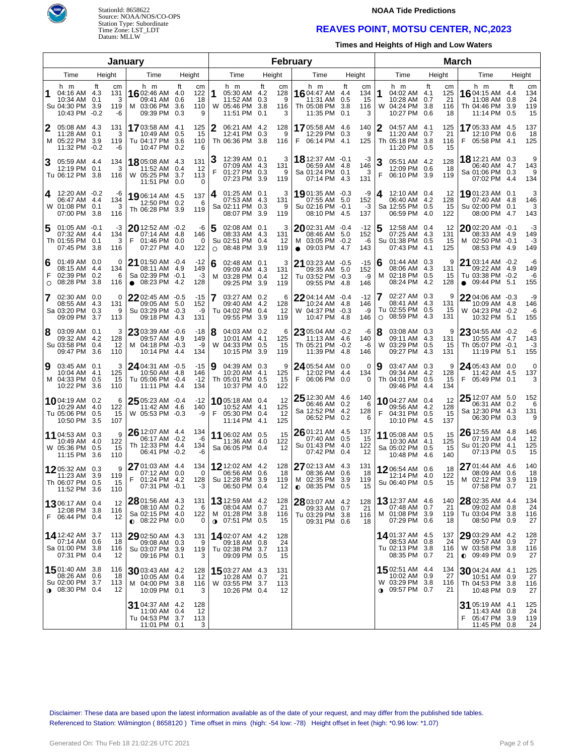

StationId: 8658622 Source: NOAA/NOS/CO-OPS Station Type: Subordinate Time Zone: LST\_LDT Datum: MLLW

### **NOAA Tide Predictions**

## **REAVES POINT, MOTSU CENTER, NC,2023**

**Times and Heights of High and Low Waters**

| January           |                                                                                     |           |                             |                                                                               |                                                        |        |                                                                                   |       |                            | <b>February</b>                                                                  |                                                 |   |                                                                                   | <b>March</b>                                     |    |                                                                               |                         |                              |  |  |
|-------------------|-------------------------------------------------------------------------------------|-----------|-----------------------------|-------------------------------------------------------------------------------|--------------------------------------------------------|--------|-----------------------------------------------------------------------------------|-------|----------------------------|----------------------------------------------------------------------------------|-------------------------------------------------|---|-----------------------------------------------------------------------------------|--------------------------------------------------|----|-------------------------------------------------------------------------------|-------------------------|------------------------------|--|--|
| Time<br>Height    |                                                                                     |           |                             | Time                                                                          | Height                                                 |        | Time                                                                              |       | Height                     | Time                                                                             | Height                                          |   | Time                                                                              | Height                                           |    | Time                                                                          |                         | Height                       |  |  |
| 1                 | h m<br>04:16 AM 4.3<br>10:34 AM<br>Su 04:30 PM 3.9<br>10:43 PM -0.2                 | ft<br>0.1 | cm<br>131<br>3<br>119<br>-6 | h m<br>16 02:46 AM 4.0<br>09:41 AM<br>M 03:06 PM<br>09:39 PM                  | ft<br>cm<br>122<br>0.6<br>18<br>3.6<br>110<br>0.3<br>9 | 1      | h m<br>05:30 AM 4.2<br>11:52 AM 0.3<br>W 05:46 PM 3.8<br>11:51 PM 0.1             | ft    | cm<br>128<br>9<br>116<br>3 | h m<br><b>16</b> 04:47 AM 4.4<br>11:31 AM<br>Th 05:08 PM<br>11:35 PM 0.1         | ft<br>cm<br>134<br>0.5<br>15<br>3.8<br>116<br>3 | 1 | h m<br>04:02 AM 4.1<br>10:28 AM<br>W 04:24 PM 3.8<br>10:27 PM                     | ft<br>cm<br>125<br>21<br>0.7<br>116<br>0.6<br>18 |    | h m<br><b>16</b> 04:15 AM<br>11:08 AM<br>Th 04:46 PM<br>11:14 PM 0.5          | ft<br>4.4<br>0.8<br>3.9 | cm<br>134<br>24<br>119<br>15 |  |  |
| 2                 | 05:08 AM 4.3<br>11:28 AM 0.1<br>M 05:22 PM 3.9<br>11:32 PM -0.2                     |           | 131<br>3<br>119<br>-6       | 1703:58 AM<br>10:49 AM<br>Tu 04:17 PM<br>10:47 PM                             | 125<br>-4.1<br>0.5<br>15<br>3.6<br>110<br>0.2<br>6     | 2      | 06:21 AM 4.2<br>12:41 PM 0.3<br>Th 06:36 PM 3.8                                   |       | 128<br>9<br>116            | 1705:58 AM 4.6<br>12:29 PM<br>06:14 PM 4.1<br>F.                                 | 140<br>0.3<br>9<br>125                          | 2 | 04:57 AM 4.1<br>11:20 AM<br>Th 05:18 PM 3.8<br>11:20 PM 0.5                       | 125<br>21<br>0.7<br>116<br>15                    | F. | 1705:33 AM 4.5<br>12:10 PM 0.6<br>05:58 PM 4.1                                |                         | 137<br>18<br>125             |  |  |
| 3                 | 05:59 AM 4.4<br>12:19 PM 0.1<br>Tu 06:12 PM 3.8                                     |           | 134<br>3<br>116             | 1805:08 AM 4.3<br>11:52 AM<br>W 05:25 PM<br>11:51 PM                          | 131<br>0.4<br>12<br>3.7<br>113<br>0.0<br>0             | З<br>F | 12:39 AM 0.1<br>07:09 AM 4.3<br>01:27 PM 0.3<br>07:23 PM                          | -3.9  | 3<br>131<br>9<br>119       | 18 12:37 AM -0.1<br>06:59 AM 4.8<br>Sa 01:24 PM 0.1<br>07:14 PM                  | -3<br>146<br>3<br>4.3<br>131                    |   | 05:51 AM 4.2<br>12:09 PM 0.6<br>F<br>06:10 PM 3.9                                 | 128<br>-18<br>119                                |    | <b>18</b> 12:21 AM 0.3<br>06:40 AM 4.7<br>Sa 01:06 PM 0.3<br>07:02 PM         | 4.4                     | 9<br>143<br>9<br>134         |  |  |
| 4                 | 12:20 AM -0.2<br>06:47 AM 4.4<br>W 01:08 PM 0.1<br>07:00 PM 3.8                     |           | -6<br>134<br>3<br>116       | <b>19</b> 06:14 AM 4.5<br>12:50 PM<br>Th 06:28 PM 3.9                         | 137<br>0.2<br>6<br>119                                 | 4      | $01:25$ AM $0.1$<br>07:53 AM 4.3<br>Sa 02:11 PM 0.3<br>08:07 PM                   | 3.9   | 3<br>131<br>9<br>119       | 19 01:35 AM -0.3<br>07:55 AM 5.0<br>Su 02:16 PM -0.1<br>08:10 PM 4.5             | -9<br>152<br>-3<br>137                          | 4 | 12:10 AM 0.4<br>06:40 AM 4.2<br>Sa 12:55 PM 0.5<br>06:59 PM                       | 12<br>128<br>15<br>4.0<br>122                    |    | 1901:23 AM 0.1<br>07:40 AM 4.8<br>Su 02:00 PM 0.1<br>08:00 PM                 | 4.7                     | 3<br>146<br>3<br>143         |  |  |
| 5                 | $01:05$ AM $-0.1$<br>07:32 AM 4.4<br>Th 01:55 PM 0.1<br>07:45 PM                    | -3.8      | -3<br>134<br>3<br>116       | $20$ 12:52 AM $-0.2$<br>07:14 AM<br>F<br>01:46 PM 0.0<br>07:27 PM             | -6<br>4.8<br>146<br>0<br>4.0<br>122                    |        | 02:08 AM 0.1<br>08:33 AM 4.3<br>Su 02:51 PM 0.4<br>08:48 PM<br>$\circ$            | -3.9  | 3<br>131<br>12<br>119      | $20$ 02:31 AM $-0.4$<br>08:46 AM 5.0<br>M 03:05 PM -0.2<br>09:03 PM<br>$\bullet$ | $-12$<br>152<br>-6<br>4.7<br>143                |   | 12:58 AM 0.4<br>07:25 AM 4.3<br>Su 01:38 PM 0.5<br>07:43 PM                       | 12<br>131<br>15<br>4.1<br>125                    |    | 2002:20 AM -0.1<br>08:33 AM 4.9<br>M 02:50 PM -0.1<br>08:53 PM                | 4.9                     | -3<br>149<br>-3<br>149       |  |  |
| 6<br>F<br>$\circ$ | 01:49 AM 0.0<br>08:15 AM 4.4<br>02:39 PM 0.2<br>08:28 PM                            | 3.8       | $\Omega$<br>134<br>6<br>116 | $21$ 01:50 AM $-0.4$<br>08:11 AM<br>Sa 02:39 PM -0.1<br>08:23 PM<br>$\bullet$ | $-12$<br>149<br>-4.9<br>$-3$<br>4.2<br>128             | 6      | 02:48 AM 0.1<br>09:09 AM 4.3<br>03:28 PM 0.4<br>м<br>09:25 PM                     | - 3.9 | 3<br>131<br>12<br>119      | $21$ 03:23 AM $-0.5$<br>09:35 AM 5.0<br>Tu 03:52 PM -0.3<br>09:55 PM 4.8         | $-15$<br>152<br>-9<br>146                       | 6 | 01:44 AM 0.3<br>08:06 AM 4.3<br>02:18 PM 0.5<br>M<br>08:24 PM                     | 9<br>131<br>15<br>4.2<br>128                     |    | 21 03:14 AM -0.2<br>09:22 AM 4.9<br>Tu 03:38 PM -0.2<br>09:44 PM<br>$\bullet$ | 5.1                     | -6<br>149<br>-6<br>155       |  |  |
| 7                 | 02:30 AM 0.0<br>08:55 AM 4.3<br>Sa 03:20 PM 0.3<br>09:09 PM                         | 3.7       | 0<br>131<br>9<br>113        | 2202:45 AM -0.5<br>09:05 AM 5.0<br>Su 03:29 PM -0.3<br>09:18 PM               | $-15$<br>152<br>-9<br>131<br>4.3                       | 7      | 03:27 AM 0.2<br>09:40 AM 4.2<br>Tu 04:02 PM 0.4<br>09:55 PM                       | -3.9  | 6<br>128<br>-12<br>119     | 2204:14 AM -0.4<br>10:24 AM 4.8<br>W 04:37 PM -0.3<br>10:47 PM                   | $-12$<br>146<br>-9<br>-4.8<br>146               | 7 | 02:27 AM 0.3<br>08:41 AM 4.3<br>Tu 02:55 PM 0.5<br>08:59 PM<br>$\circ$            | 9<br>131<br>15<br>4.3<br>131                     |    | 22 04:06 AM -0.3<br>10:09 AM 4.8<br>W 04:23 PM -0.2<br>10:32 PM               | 5.1                     | -9<br>146<br>-6<br>155       |  |  |
| 8                 | 03:09 AM 0.1<br>09:32 AM 4.2<br>Su 03:58 PM 0.4<br>09:47 PM 3.6                     |           | 3<br>128<br>12<br>110       | 23 03:39 AM -0.6<br>09:57 AM<br>M 04:18 PM -0.3<br>10:14 PM                   | -18<br>149<br>-4.9<br>-9<br>134<br>4.4                 | 8      | 04:03 AM 0.2<br>10:01 AM 4.1<br>W 04:33 PM 0.5<br>10:15 PM                        | 3.9   | 6<br>125<br>15<br>119      | 23 05:04 AM -0.2<br>11:13 AM 4.6<br>Th 05:21 PM -0.2<br>11:39 PM                 | -6<br>140<br>-6<br>-4.8<br>146                  | 8 | 03:08 AM 0.3<br>09:11 AM 4.3<br>W 03:29 PM<br>09:27 PM                            | 9<br>131<br>0.5<br>15<br>4.3<br>131              |    | 23 04:55 AM -0.2<br>10:55 AM 4.7<br>Th 05:07 PM -0.1<br>11:19 PM              | 5.1                     | -6<br>143<br>-3<br>155       |  |  |
| 9                 | 03:45 AM 0.1<br>10:04 AM 4.1<br>M 04:33 PM 0.5<br>10:22 PM                          | 3.6       | 3<br>125<br>15<br>110       | 24 04:31 AM -0.5<br>10:50 AM 4.8<br>Tu 05:06 PM -0.4<br>11:11 PM              | $-15$<br>146<br>$-12$<br>4.4<br>134                    | 9      | 04:39 AM 0.3<br>10:20 AM 4.1<br>Th 05:01 PM 0.5<br>10:37 PM                       | -4.0  | 9<br>125<br>15<br>122      | 24 05:54 AM 0.0<br>12:02 PM 4.4<br>F<br>06:06 PM 0.0                             | 0<br>134<br>0                                   | 9 | 03:47 AM 0.3<br>09:34 AM 4.2<br>Th 04:01 PM 0.5<br>09:46 PM                       | 9<br>128<br>-15<br>4.4<br>134                    | F  | 24 05:43 AM 0.0<br>11:42 AM 4.5<br>05:49 PM 0.1                               |                         | 0<br>137<br>3                |  |  |
|                   | 1004:19 AM 0.2<br>10:29 AM 4.0<br>Tu 05:06 PM 0.5<br>10:50 PM 3.5                   |           | 6<br>122<br>15<br>107       | 25 05:23 AM -0.4<br>11:42 AM<br>W 05:53 PM                                    | $-12$<br>-4.6<br>140<br>$-0.3$<br>-9                   | F      | $10$ 05:18 AM 0.4<br>10:52 AM 4.1<br>05:30 PM 0.4<br>11:14 PM                     | 4.1   | 12<br>125<br>12<br>125     | $25$ 12:30 AM 4.6<br>06:46 AM 0.2<br>Sa 12:52 PM 4.2<br>06:52 PM 0.2             | 140<br>6<br>128<br>6                            |   | 1004:27 AM 0.4<br>09:56 AM 4.2<br>04:31 PM 0.5<br>10:10 PM                        | 12<br>128<br>15<br>4.5<br>137                    |    | $2512:07$ AM $5.0$<br>06:31 AM 0.2<br>Sa 12:30 PM 4.3<br>06:30 PM 0.3         |                         | 152<br>6<br>131<br>9         |  |  |
|                   | 11 04:53 AM 0.3<br>10:49 AM 4.0<br>W 05:36 PM 0.5<br>11:15 PM 3.6                   |           | 9<br>122<br>15<br>110       | 26 12:07 AM 4.4<br>06:17 AM -0.2<br>Th 12:33 PM 4.4<br>06:41 PM -0.2          | 134<br>-6<br>134<br>-6                                 |        | 11 06:02 AM 0.5<br>11:36 AM 4.0<br>Sa 06:05 PM 0.4                                |       | 15<br>122<br>12            | 26 01:21 AM 4.5<br>07:40 AM 0.5<br>Su 01:43 PM 4.0<br>07:42 PM 0.4               | 137<br>15<br>122<br>12                          |   | 11 05:08 AM 0.5<br>10:30 AM 4.1<br>Sa 05:02 PM 0.5<br>10:48 PM                    | 15<br>125<br>15<br>4.6<br>140                    |    | 26 12:55 AM 4.8<br>07:19 AM 0.4<br>Su 01:20 PM 4.1<br>07:13 PM 0.5            |                         | 146<br>12<br>125<br>15       |  |  |
|                   | 1205:32 AM 0.3<br>11:23 AM 3.9<br>Th 06:07 PM 0.5<br>11:52 PM 3.6                   |           | 9<br>119<br>15<br>110       | 27 01:03 AM 4.4<br>07:12 AM 0.0<br>F<br>01:24 PM 4.2<br>07:31 PM -0.1         | 134<br>0<br>128  <br>-3                                |        | <b>12</b> 12:02 AM 4.2<br>06:56 AM 0.6<br>Su 12:28 PM 3.9<br>06:50 PM 0.4         |       | 128<br>18<br>119<br>12     | 27 02:13 AM 4.3<br>08:36 AM 0.6<br>M 02:35 PM 3.9<br>$\bullet$ 08:35 PM 0.5      | 131<br>18<br>119<br>15                          |   | 1206:54 AM 0.6<br>12:14 PM 4.0<br>Su 06:40 PM 0.5                                 | 18<br>122<br>15                                  |    | 27 01:44 AM 4.6<br>08:09 AM 0.6<br>M 02:12 PM 3.9<br>07:58 PM 0.7             |                         | 140<br>18<br>119<br>21       |  |  |
|                   | 1306:17 AM 0.4<br>12:08 PM 3.8<br>F 06:44 PM 0.4                                    |           | 12<br>116<br>12             | 28 01:56 AM 4.3<br>08:10 AM 0.2<br>Sa 02:15 PM 4.0<br>$\bullet$ 08:22 PM 0.0  | 131<br>6<br>122<br>0                                   |        | <b>13</b> 12:59 AM 4.2<br>08:04 AM 0.7<br>M 01:28 PM 3.8<br><b>0</b> 07:51 PM 0.5 |       | 128<br>21<br>116<br>15     | 28 03:07 AM 4.2<br>09:33 AM 0.7<br>Tu 03:29 PM 3.8<br>09:31 PM 0.6               | 128<br>21<br>116<br>18                          |   | <b>13</b> 12:37 AM 4.6<br>07:48 AM 0.7<br>M 01:08 PM 3.9<br>07:29 PM 0.6          | 140<br>21<br>119<br>18                           |    | 28 02:35 AM 4.4<br>09:02 AM 0.8<br>Tu 03:04 PM 3.8<br>08:50 PM 0.9            |                         | 134<br>24<br>116<br>27       |  |  |
|                   | <b>14</b> 12:42 AM 3.7<br>07:14 AM 0.6<br>Sa 01:00 PM 3.8<br>07:31 PM 0.4           |           | 113<br>18<br>116<br>12      | $2902:50$ AM 4.3<br>09:08 AM<br>Su 03:07 PM<br>09:16 PM 0.1                   | 131<br>0.3<br>9<br>119<br>3.9<br>3                     |        | 1402:07 AM 4.2<br>09:18 AM 0.8<br>Tu 02:38 PM 3.7<br>09:09 PM 0.5                 |       | 128<br>24<br>113<br>15     |                                                                                  |                                                 |   | 1401:37 AM 4.5<br>08:53 AM 0.8<br>Tu 02:13 PM 3.8<br>08:35 PM 0.7                 | 137<br>24<br>116<br>21                           |    | 29 03:29 AM 4.2<br>09:57 AM<br>W 03:58 PM 3.8<br>$0$ 09:49 PM 0.9             | 0.9                     | 128<br>27<br>116<br>27       |  |  |
|                   | <b>15</b> 01:40 AM 3.8<br>08:26 AM 0.6<br>Su 02:00 PM 3.7<br>$\bullet$ 08:30 PM 0.4 |           | 116<br>18<br>113<br>12      | $30$ 03:43 AM 4.2<br>10:05 AM<br>M 04:00 PM<br>10:09 PM 0.1                   | 128<br>0.4<br>12<br>3.8<br>116<br>3                    |        | 15 03:27 AM 4.3<br>10:28 AM 0.7<br>W 03:55 PM 3.7<br>10:26 PM 0.4                 |       | 131<br>21<br>113<br>12     |                                                                                  |                                                 |   | <b>15</b> 02:51 AM 4.4<br>10:02 AM 0.9<br>W 03:29 PM 3.8<br><b>0</b> 09:57 PM 0.7 | 134<br>27<br>116<br>21                           |    | $3004:24$ AM 4.1<br>10:51 AM<br>Th 04:53 PM<br>10:48 PM 0.9                   | 0.9<br>3.8              | 125<br>27<br>116<br>27       |  |  |
|                   |                                                                                     |           |                             | 31 04:37 AM 4.2<br>11:00 AM<br>Tu 04:53 PM<br>11:01 PM 0.1                    | 128<br>0.4<br>12<br>113<br>3.7<br>3                    |        |                                                                                   |       |                            |                                                                                  |                                                 |   |                                                                                   |                                                  | F. | 31 05:19 AM 4.1<br>11:43 AM<br>05:47 PM<br>11:45 PM                           | 0.8<br>3.9<br>0.8       | 125<br>24<br>119<br>24       |  |  |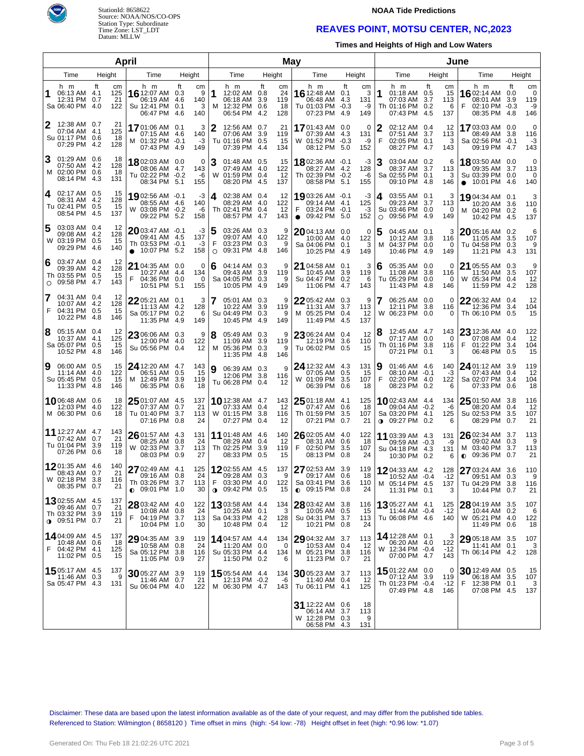

# StationId: 8658622 Source: NOAA/NOS/CO-OPS Station Type: Subordinate Time Zone: LST\_LDT Datum: MLLW

#### **NOAA Tide Predictions**

## **REAVES POINT, MOTSU CENTER, NC,2023**

**Times and Heights of High and Low Waters**

|                                                                                                           | April                                                                                                         | May                                                                                                                        |                                                                                                                                      |                                                                                                                  | June                                                                                                                      |
|-----------------------------------------------------------------------------------------------------------|---------------------------------------------------------------------------------------------------------------|----------------------------------------------------------------------------------------------------------------------------|--------------------------------------------------------------------------------------------------------------------------------------|------------------------------------------------------------------------------------------------------------------|---------------------------------------------------------------------------------------------------------------------------|
| Height<br>Time                                                                                            | Height<br>Time                                                                                                | Height<br>Time                                                                                                             | Height<br>Time                                                                                                                       | Time<br>Height                                                                                                   | Height<br>Time                                                                                                            |
| h m<br>Ħ<br>cm<br>125<br>06:13 AM 4.1<br>21<br>12:31 PM 0.7<br>Sa 06:40 PM<br>-4.0<br>122                 | h m<br>ft<br>cm<br>16 12:07 AM 0.3<br>9<br>06:19 AM 4.6<br>140<br>3<br>Su 12:41 PM 0.1<br>06:47 PM 4.6<br>140 | h m<br>ft<br>cm<br>1<br>12:02 AM 0.8<br>24<br>06:18 AM<br>3.9<br>119<br>12:32 PM 0.6<br>18<br>M<br>06:54 PM<br>-4.2<br>128 | ft<br>h m<br>cm<br><b>16</b> 12:48 AM<br>3<br>0.1<br>06:48 AM<br>4.3<br>131<br>Tu 01:03 PM<br>$-0.3$<br>-9<br>07:23 PM<br>4.9<br>149 | h m<br>Ħ<br>сm<br>1<br>01:18 AM 0.5<br>15<br>07:03 AM 3.7<br>113<br>Th 01:16 PM 0.2<br>6<br>07:43 PM 4.5<br>137  | ft<br>h m<br>cm<br><b>16</b> 02:14 AM<br>0<br>0.0<br>08:01 AM<br>3.9<br>119<br>02:10 PM -0.3<br>-9<br>08:35 PM 4.8<br>146 |
| 12:38 AM 0.7<br>21<br>125<br>07:04 AM 4.1<br>Su 01:17 PM 0.6<br>18<br>07:29 PM 4.2<br>128                 | 1701:06 AM 0.1<br>3<br>07:15 AM 4.6<br>140<br>M 01:32 PM -0.1<br>-3<br>07:43 PM 4.9<br>149                    | 2<br>12:56 AM 0.7<br>21<br>07:06 AM<br>3.9<br>119<br>Tu 01:16 PM 0.5<br>15<br>07:39 PM 4.4<br>134                          | 1701:43 AM 0.0<br>0<br>07:39 AM 4.3<br>131<br>W 01:52 PM -0.3<br>-9<br>08:12 PM 5.0<br>152                                           | 02:12 AM 0.4<br>2<br>12<br>07:51 AM 3.7<br>113<br>F<br>02:05 PM 0.1<br>3<br>08:27 PM 4.7<br>143                  | 1703:03 AM 0.0<br>0<br>08:49 AM<br>3.8<br>116<br>Sa 02:56 PM -0.1<br>-3<br>09:19 PM 4.7<br>143                            |
| 3<br>01:29 AM 0.6<br>18<br>07:50 AM 4.2<br>128<br>M 02:00 PM 0.6<br>18<br>08:14 PM 4.3<br>131             | 1802:03 AM 0.0<br>0<br>08:06 AM 4.7<br>143<br>Tu 02:22 PM -0.2<br>-6<br>08:34 PM 5.1<br>155                   | 3<br>01:48 AM 0.5<br>15<br>07:49 AM 4.0<br>122<br>W 01:59 PM 0.4<br>-12<br>08:20 PM 4.5<br>137                             | 18 02:36 AM -0.1<br>-3<br>08:27 AM 4.2<br>128<br>Th 02:39 PM -0.2<br>-6<br>08:58 PM 5.1<br>155                                       | 03:04 AM 0.2<br>6<br>08:37 AM 3.7<br>113<br>Sa 02:55 PM 0.1<br>3<br>09:10 PM 4.8<br>146                          | 18 03:50 AM 0.0<br>0<br>09:35 AM<br>3.7<br>113<br>Su 03:39 PM 0.0<br>0<br>$\bullet$ 10:01 PM 4.6<br>140                   |
| 02:17 AM 0.5<br>4<br>15<br>08:31 AM 4.2<br>128<br>Tu 02:41 PM 0.5<br>15<br>08:54 PM 4.5<br>137            | 1902:56 AM -0.1<br>-3<br>08:55 AM 4.6<br>140<br>W 03:08 PM -0.2<br>-6<br>09:22 PM 5.2<br>158                  | 14.<br>02:38 AM 0.4<br>12<br>122<br>08:29 AM 4.0<br>Th 02:41 PM 0.4<br>12<br>08:57 PM 4.7<br>143                           | 1903:26 AM -0.1<br>-3<br>125<br>09:14 AM 4.1<br>03:24 PM -0.1<br>F<br>-3<br>152<br>$\bullet$ 09:42 PM 5.0                            | 03:55 AM 0.1<br>4<br>3<br>09:23 AM 3.7<br>113<br>Su 03:46 PM 0.0<br>0<br>09:56 PM 4.9<br>149<br>$\circ$          | 19 04:34 AM 0.1<br>3<br>10:20 AM 3.6<br>110<br>M 04:20 PM 0.2<br>6<br>10:42 PM 4.5<br>137                                 |
| 03:03 AM 0.4<br>12<br>09:08 AM 4.2<br>128<br>W 03:19 PM 0.5<br>15<br>09:29 PM 4.6<br>140                  | 2003:47 AM -0.1<br>-3<br>09:41 AM 4.5<br>137<br>Th 03:53 PM -0.1<br>$-3$<br>158<br>$\bullet$ 10:07 PM 5.2     | 5<br>03:26 AM 0.3<br>9<br>09:07 AM 4.0<br>122<br>F<br>03:23 PM 0.3<br>9<br>09:31 PM 4.8<br>146<br>$\circ$                  | 2004:13 AM 0.0<br>0<br>122<br>10:00 AM 4.0<br>Sa 04:06 PM 0.1<br>3<br>10:25 PM 4.9<br>149                                            | 5<br>04:45 AM 0.1<br>3<br>10:12 AM 3.8<br>116<br>M 04:37 PM 0.0<br>0<br>10:46 PM 4.9<br>149                      | 2005:16 AM 0.2<br>6<br>107<br>11:05 AM<br>3.5<br>Tu 04:58 PM 0.3<br>9<br>11:21 PM 4.3<br>131                              |
| 03:47 AM 0.4<br>6<br>12<br>09:39 AM 4.2<br>128<br>Th 03:55 PM 0.5<br>15<br>143<br>09:58 PM 4.7<br>$\circ$ | 21<br>04:35 AM 0.0<br>0<br>134<br>10:27 AM 4.4<br>F<br>04:36 PM 0.0<br>0<br>10:51 PM 5.1<br>155               | 6<br>9<br>04:14 AM 0.3<br>09:43 AM 3.9<br>119<br>Sa 04:05 PM 0.3<br>9<br>10:05 PM 4.9<br>149                               | 21 04:58 AM 0.1<br>3<br>10:45 AM<br>3.9<br>119<br>Su 04:47 PM 0.2<br>6<br>11:06 PM 4.7<br>143                                        | 05:35 AM 0.0<br>6<br>0<br>11:08 AM 3.8<br>116<br>Tu 05:29 PM 0.0<br>0<br>11:43 PM 4.8<br>146                     | 9<br>21 05:55 AM 0.3<br>107<br>11:50 AM<br>3.5<br>W 05:34 PM<br>0.4<br>12<br>11:59 PM 4.2<br>128                          |
| 7<br>04:31 AM 0.4<br>12<br>128<br>10:07 AM<br>-4.2<br>F<br>04:31 PM 0.5<br>15<br>10:22 PM<br>-4.8<br>146  | 22 05:21 AM 0.1<br>3<br>11:13 AM 4.2<br>128<br>Sa 05:17 PM 0.2<br>6<br>11:35 PM 4.9<br>149                    | 7<br>9<br>05:01 AM 0.3<br>10:22 AM 3.9<br>119<br>Su 04:49 PM 0.3<br>9<br>10:45 PM 4.9<br>149                               | 22 05:42 AM 0.3<br>9<br>11:31 AM<br>3.7<br>113<br>M 05:25 PM 0.4<br>12<br>11:49 PM 4.5<br>137                                        | 06:25 AM 0.0<br>7<br>0<br>12:11 PM<br>3.8<br>116<br>W 06:23 PM 0.0<br>0                                          | 22 06:32 AM 0.4<br>12<br>104<br>12:36 PM<br>3.4<br>Th 06:10 PM 0.5<br>15                                                  |
| 8<br>05:15 AM 0.4<br>12<br>125<br>10:37 AM 4.1<br>Sa 05:07 PM 0.5<br>15<br>10:52 PM<br>146<br>-4.8        | 23 06:06 AM 0.3<br>9<br>12:00 PM 4.0<br>122<br>Su 05:56 PM 0.4<br>12                                          | 8<br>9<br>05:49 AM 0.3<br>11:09 AM 3.9<br>119<br>M 05:36 PM 0.3<br>9<br>11:35 PM 4.8<br>146                                | 12<br>23 06:24 AM 0.4<br>12:19 PM<br>3.6<br>110<br>Tu 06:02 PM 0.5<br>15                                                             | 12:45 AM 4.7<br>143<br>8<br>07:17 AM 0.0<br>0<br>Th 01:16 PM 3.8<br>116<br>07:21 PM 0.1<br>3                     | 122<br>$2312:36$ AM $4.0$<br>07:08 AM<br>0.4<br>12<br>01:22 PM<br>F<br>3.4<br>104<br>06:48 PM<br>15<br>0.5                |
| 15<br>9<br>06:00 AM 0.5<br>122<br>11:14 AM 4.0<br>Su 05:45 PM 0.5<br>15<br>11:33 PM<br>-4.8<br>146        | 24 12:20 AM 4.7<br>143<br>15<br>06:51 AM 0.5<br>M 12:49 PM 3.9<br>119<br>06:35 PM 0.6<br>18                   | 9<br>9<br>06:39 AM 0.3<br>12:06 PM 3.8<br>116<br>Tu 06:28 PM 0.4<br>12                                                     | 24 12:32 AM 4.3<br>131<br>15<br>07:05 AM 0.5<br>W 01:09 PM 3.5<br>107<br>06:39 PM 0.6<br>18                                          | 9<br>01:46 AM 4.6<br>140<br>08:10 AM -0.1<br>-3<br>F<br>02:20 PM 4.0<br>122<br>08:23 PM 0.2<br>6                 | 24 01:12 AM 3.9<br>119<br>12<br>07:43 AM<br>0.4<br>Sa 02:07 PM<br>3.4<br>104<br>07:33 PM<br>18<br>0.6                     |
| 1006:48 AM 0.6<br>18<br>12:03 PM<br>4.0<br>122<br>M 06:30 PM 0.6<br>18                                    | $2501:07$ AM $4.5$<br>137<br>21<br>07:37 AM 0.7<br>Tu 01:40 PM 3.7<br>113<br>07:16 PM<br>0.8<br>24            | 143<br><b>10</b> 12:38 AM 4.7<br>07:33 AM 0.4<br>12<br>W 01:15 PM 3.8<br>116<br>07:27 PM<br>0.4<br>12                      | $2501:18$ AM 4.1<br>125<br>07:47 AM<br>0.6<br>18<br>Th 01:59 PM<br>3.5<br>107<br>07:21 PM<br>0.7<br>21                               | <b>10</b> 02:43 AM 4.4<br>134<br>09:04 AM -0.2<br>-6<br>Sa 03:20 PM 4.1<br>125<br>09:27 PM 0.2<br>6<br>$\bullet$ | $2501:50$ AM 3.8<br>116<br>08:20 AM<br>12<br>0.4<br>Su 02:53 PM<br>3.5<br>107<br>08:29 PM<br>21<br>0.7                    |
| 11 12:27 AM 4.7<br>143<br>21<br>0.7<br>07:42 AM<br>Tu 01:04 PM 3.9<br>119<br>07:26 PM 0.6<br>18           | $2601:57$ AM 4.3<br>131<br>24<br>08:25 AM 0.8<br>W 02:33 PM 3.7<br>113<br>08:03 PM 0.9<br>27                  | 11 01:48 AM 4.6<br>140<br>08:29 AM 0.4<br>12<br>Th 02:25 PM<br>3.9<br>119<br>08:33 PM<br>0.5<br>15                         | $2602:05$ AM 4.0<br>122<br>18<br>08:31 AM<br>0.6<br>F<br>02:50 PM 3.5<br>107<br>08:13 PM<br>0.8<br>24                                | 11 03:39 AM 4.3<br>131<br>09:59 AM -0.3<br>-9<br>Su 04:18 PM 4.3<br>131<br>10:30 PM 0.2<br>6                     | 26 02:34 AM 3.7<br>113<br>09:02 AM<br>0.3<br>-9<br>M 03:40 PM<br>3.7<br>113<br>09:36 PM<br>21<br>0.7<br>$\bullet$         |
| 12 01:35 AM 4.6<br>140<br>21<br>08:43 AM 0.7<br>W 02:18 PM 3.8<br>116<br>08:35 PM 0.7<br>21               | $2702:49$ AM $4.1$<br>125<br>09:16 AM 0.8<br>24<br>Th 03:26 PM 3.7<br>113<br>$\bullet$ 09:01 PM 1.0<br>30     | 1202:55 AM 4.5<br>137<br>09:28 AM 0.3<br>9<br>F<br>03:30 PM 4.0<br>122<br>$\bullet$ 09:42 PM 0.5<br>15                     | 27 02:53 AM 3.9<br>119<br>18<br>09:17 AM 0.6<br>Sa 03:41 PM 3.6<br>110<br>$\bullet$ 09:15 PM 0.8<br>24                               | 1204:33 AM 4.2<br>128<br>10:52 AM -0.4<br>$-12$<br>M 05:14 PM 4.5<br>137<br>11:31 PM 0.1<br>3                    | 27 03:24 AM 3.6<br>110<br>09:51 AM<br>0.3<br>9<br>116<br>Tu 04:29 PM 3.8<br>21<br>10:44 PM 0.7                            |
| 1302:55 AM 4.5<br>137<br>09:46 AM 0.7<br>21<br>Th 03:32 PM 3.9<br>119<br>$0.09:51$ PM 0.7<br>21           | 28 03:42 AM 4.0<br>122<br>24<br>10:08 AM 0.8<br>F<br>04:19 PM 3.7<br>113<br>10:04 PM 1.0<br>30                | 1303:58 AM 4.4<br>134<br>10:25 AM 0.1<br>3<br>Sa 04:33 PM 4.2<br>128<br>10:48 PM 0.4<br>12                                 | 28 03:42 AM 3.8<br>116<br>10:05 AM 0.5<br>15<br>Su 04:31 PM 3.7<br>113<br>10:21 PM 0.8<br>24                                         | <b>13</b> 05:27 AM 4.1<br>125<br>11:44 AM -0.4<br>$-12$<br>Tu 06:08 PM 4.6<br>140                                | 28 04:19 AM 3.5<br>107<br>10:44 AM 0.2<br>6<br>W 05:21 PM 4.0<br>122<br>11:49 PM 0.6<br>18                                |
| 14.04:09 AM 4.5<br>137<br>10:48 AM 0.6<br>18<br>F<br>04:42 PM 4.1<br>125<br>11:02 PM 0.5<br>15            | 29 04:35 AM 3.9<br>119<br>24<br>10:58 AM 0.8<br>Sa 05:12 PM 3.8<br>116<br>11:05 PM 0.9<br>27                  | <b>14</b> 04:57 AM 4.4<br>134<br>11:20 AM 0.0<br>$\Omega$<br>Su 05:33 PM 4.4<br>134<br>11:50 PM 0.2<br>6                   | 29 04:32 AM 3.7<br>113<br>10:53 AM 0.4<br>-12<br>M 05:21 PM 3.8<br>116<br>11:23 PM 0.7<br>21                                         | 14 12:28 AM 0.1<br>З<br>122<br>06:20 AM 4.0<br>W 12:34 PM -0.4<br>$-12$<br>07:00 PM 4.7<br>143                   | 29 05:18 AM 3.5<br>107<br>11:41 AM 0.1<br>3<br>Th 06:14 PM 4.2<br>128                                                     |
| 15 05:17 AM 4.5<br>137<br>11:46 AM 0.3<br>9<br>Sa 05:47 PM 4.3<br>131                                     | 30 05:27 AM 3.9<br>119<br>21<br>11:46 AM 0.7<br>Su 06:04 PM 4.0<br>122                                        | <b>15</b> 05:54 AM 4.4<br>134<br>12:13 PM -0.2<br>-6<br>M 06:30 PM 4.7<br>143                                              | 30 05:23 AM 3.7<br>113<br>11:40 AM 0.4<br>-12<br>Tu 06:11 PM 4.1<br>125                                                              | 1501:22 AM 0.0<br>0<br>07:12 AM 3.9<br>119<br>Th 01:23 PM -0.4<br>$-12$<br>07:49 PM 4.8<br>146                   | 30 12:49 AM 0.5<br>15<br>06:18 AM 3.5<br>107<br>F<br>12:38 PM 0.1<br>3<br>07:08 PM 4.5<br>137                             |
|                                                                                                           |                                                                                                               |                                                                                                                            | 31 12:22 AM 0.6<br>18<br>06:14 AM 3.7<br>113<br>W 12:28 PM 0.3<br>9<br>06:58 PM 4.3<br>131                                           |                                                                                                                  |                                                                                                                           |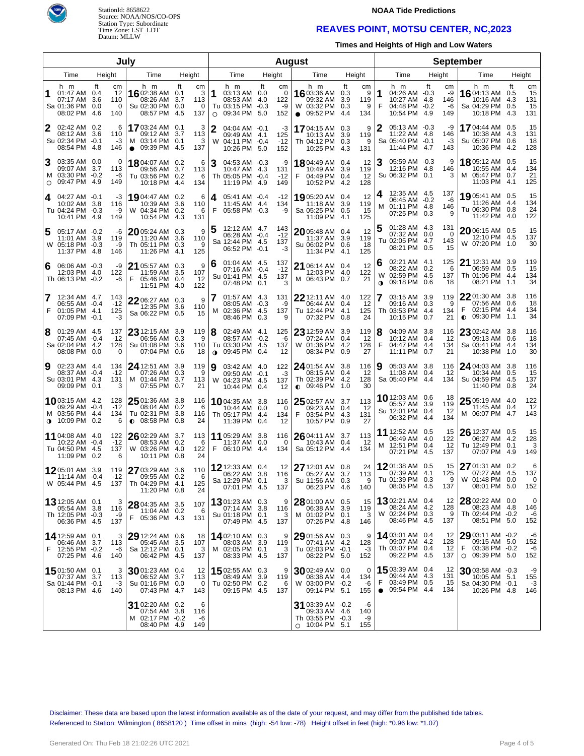



### **NOAA Tide Predictions**

## **REAVES POINT, MOTSU CENTER, NC,2023**

**Times and Heights of High and Low Waters**

|                |                                                                            |                                                    | July                                                                      |                                                        |                |                                                                         |        |                             | <b>August</b>                                                                 |                                                       |                | <b>September</b>                                                         |              |                              |                                                                                     |           |                              |
|----------------|----------------------------------------------------------------------------|----------------------------------------------------|---------------------------------------------------------------------------|--------------------------------------------------------|----------------|-------------------------------------------------------------------------|--------|-----------------------------|-------------------------------------------------------------------------------|-------------------------------------------------------|----------------|--------------------------------------------------------------------------|--------------|------------------------------|-------------------------------------------------------------------------------------|-----------|------------------------------|
| Height<br>Time |                                                                            |                                                    | Time                                                                      | Height                                                 |                | Time                                                                    | Height |                             | Time                                                                          | Height                                                |                | Time                                                                     | Height       |                              | Time                                                                                | Height    |                              |
|                | h m<br>01:47 AM 0.4<br>07:17 AM<br>Sa 01:36 PM<br>08:02 PM                 | ft<br>сm<br>12<br>3.6<br>110<br>0.0<br>-4.6<br>140 | h m<br>16 02:38 AM 0.1<br>08:26 AM<br>Su 02:30 PM<br>0<br>08:57 PM        | ft<br>cm<br>3<br>3.7<br>113<br>0.0<br>0<br>-4.5<br>137 | 11<br>$\circ$  | h m<br>03:13 AM 0.0<br>08:53 AM 4.0<br>Tu 03:15 PM -0.3<br>09:34 PM 5.0 | ft     | сm<br>0<br>122<br>-9<br>152 | h m<br>16 03:36 AM<br>09:32 AM<br>W 03:32 PM 0.3<br>$\bullet$ 09:52 PM        | ft<br>cm<br>0.3<br>9<br>3.9<br>119<br>9<br>4.4<br>134 | 1<br>F         | h m<br>04:26 AM -0.3<br>10:27 AM 4.8<br>04:48 PM<br>10:54 PM 4.9         | ft<br>$-0.2$ | сm<br>-9<br>146<br>-6<br>149 | h m<br><b>16</b> 04:13 AM<br>10:16 AM 4.3<br>Sa 04:29 PM 0.5<br>10:18 PM 4.3        | ft<br>0.5 | cm<br>15<br>131<br>15<br>131 |
| 2              | 02:42 AM 0.2<br>08:12 AM<br>Su 02:34 PM<br>08:54 PM 4.8                    | 3.6<br>110<br>$-0.1$<br>$-3$<br>146                | 1703:24 AM 0.1<br>6<br>09:12 AM<br>03:14 PM<br>09:39 PM 4.5<br>$\bullet$  | 3<br>3.7<br>113<br>0.1<br>3<br>137                     | $\mathbf{2}$   | $04:04$ AM $-0.1$<br>09:49 AM 4.1<br>W 04:11 PM -0.4<br>10:26 PM 5.0    |        | -3<br>125<br>$-12$<br>152   | 1704:15 AM 0.3<br>10:13 AM<br>Th 04:12 PM 0.3<br>10:25 PM 4.3                 | 9<br>3.9<br>119<br>9<br>131                           | 2              | 05:13 AM -0.3<br>11:22 AM 4.8<br>Sa 05:40 PM -0.1<br>11:44 PM 4.7        |              | -9<br>146<br>-3<br>143       | 1704:44 AM 0.5<br>10:38 AM 4.3<br>Su 05:07 PM 0.6<br>10:36 PM 4.2                   |           | 15<br>131<br>18<br>128       |
| З<br>$\circ$   | 03:35 AM 0.0<br>09:07 AM<br>M 03:30 PM -0.2<br>09:47 PM 4.9                | 3.7<br>113<br>-6<br>149                            | 0<br>18 04:07 AM 0.2<br>09:56 AM<br>Tu 03:56 PM 0.2<br>10:18 PM           | 6<br>3.7<br>113<br>6<br>-4.4<br>134                    | 3              | 04:53 AM -0.3<br>10:47 AM 4.3<br>Th 05:05 PM -0.4<br>11:19 PM 4.9       |        | -9<br>131<br>$-12$<br>149   | 1804:49 AM 0.4<br>10:49 AM 3.9<br>F<br>04:49 PM 0.4<br>10:52 PM 4.2           | 12<br>119<br>12<br>128                                | З              | 05:59 AM -0.3<br>12:16 PM 4.8<br>Su 06:32 PM 0.1                         |              | -9<br>146<br>3               | 18 05:12 AM 0.5<br>10:55 AM 4.4<br>M 05:47 PM 0.7<br>11:03 PM 4.1                   |           | 15<br>134<br>21<br>125       |
| 4              | 04:27 AM -0.1<br>10:02 AM<br>Tu 04:24 PM -0.3<br>10:41 PM 4.9              | -3<br>3.8<br>116<br>-9<br>149                      | 19 04:47 AM 0.2<br>10:39 AM<br>W 04:34 PM<br>10:54 PM                     | 6<br>3.6<br>110<br>0.2<br>6<br>-4.3<br>131             | 4<br>F         | 05:41 AM -0.4<br>11:45 AM 4.4<br>05:58 PM -0.3                          |        | $-12$<br>134<br>-9          | 1905:20 AM 0.4<br>11:18 AM 3.9<br>Sa 05:25 PM 0.5<br>11:09 PM 4.1             | 12<br>119<br>15<br>125                                | М              | 12:35 AM 4.5<br>06:45 AM -0.2<br>01:11 PM 4.8<br>07:25 PM 0.3            |              | 137<br>-6<br>146<br>9        | 1905:41 AM 0.5<br>11:26 AM 4.4<br>Tu 06:30 PM 0.8<br>11:42 PM 4.0                   |           | 15<br>134<br>24<br>122       |
| 5              | 05:17 AM -0.2<br>11:01 AM<br>W 05:18 PM -0.3<br>11:37 PM 4.8               | -6<br>3.9<br>119<br>-9<br>146                      | 2005:24 AM 0.3<br>11:20 AM<br>Th 05:11 PM 0.3<br>11:26 PM 4.1             | 9<br>3.6<br>110<br>9<br>125                            | 5              | 12:12 AM 4.7<br>06:28 AM -0.4<br>Sa 12:44 PM 4.5<br>06:52 PM -0.1       |        | 143<br>$-12$<br>137<br>-3   | 2005:48 AM 0.4<br>11:37 AM 3.9<br>Su 06:02 PM 0.6<br>11:34 PM 4.1             | 12<br>119<br>18<br>125                                |                | 01:28 AM 4.3<br>07:32 AM 0.0<br>Tu 02:05 PM 4.7<br>08:21 PM 0.5          |              | 131<br>0<br>143<br>15        | 20 06:15 AM 0.5<br>12:10 PM 4.5<br>W 07:20 PM 1.0                                   |           | 15<br>137<br>30              |
| 6              | 06:06 AM -0.3<br>12:03 PM<br>Th 06:13 PM -0.2                              | -9<br>122<br>4.0<br>-6                             | 21 05:57 AM 0.3<br>11:59 AM<br>05:46 PM 0.4<br>F<br>11:51 PM 4.0          | 9<br>3.5<br>107<br>12<br>122                           | 6              | 01:04 AM 4.5<br>07:16 AM -0.4<br>Su 01:41 PM 4.5<br>07:48 PM 0.1        |        | 137<br>$-12$<br>137<br>3    | 21 06:14 AM 0.4<br>12:03 PM 4.0<br>M 06:43 PM 0.7                             | 12<br>122<br>21                                       | 6<br>$\bullet$ | 02:21 AM 4.1<br>08:22 AM 0.2<br>W 02:59 PM 4.5<br>09:18 PM               | 0.6          | 125<br>6<br>137<br>18        | 21 12:31 AM 3.9<br>06:59 AM 0.5<br>Th 01:06 PM 4.4<br>08:21 PM 1.1                  |           | 119<br>15<br>134<br>34       |
| 7<br>F         | 12:34 AM 4.7<br>06:55 AM -0.4<br>01:05 PM 4.1<br>07:09 PM -0.1             | 143<br>$-12$<br>125<br>$-3$                        | $2206:27$ AM 0.3<br>12:35 PM<br>Sa 06:22 PM 0.5                           | 9<br>3.6<br>110<br>15                                  | м              | 01:57 AM 4.3<br>08:05 AM -0.3<br>02:36 PM 4.5<br>08:46 PM               | 0.3    | 131<br>-9<br>137<br>9       | $22$ 12:11 AM 4.0<br>06:44 AM<br>Tu 12:44 PM 4.1<br>07:32 PM                  | 122<br>12<br>0.4<br>125<br>24<br>0.8                  |                | 03:15 AM 3.9<br>09:16 AM<br>Th 03:53 PM 4.4<br>10:15 PM                  | 0.3<br>0.7   | 119<br>9<br>134<br>21        | $22$ 01:30 AM 3.8<br>07:56 AM 0.6<br>F<br>02:15 PM 4.4<br>09:30 PM 1.1<br>$\bullet$ |           | 116<br>18<br>134<br>34       |
| 8              | 01:29 AM 4.5<br>07:45 AM<br>Sa 02:04 PM 4.2<br>08:08 PM                    | 137<br>$-12$<br>$-0.4$<br>128<br>0.0               | $23$ 12:15 AM 3.9<br>06:56 AM<br>Su 01:08 PM<br>07:04 PM<br>0             | 119<br>9<br>0.3<br>3.6<br>110<br>0.6<br>18             | 8<br>$\bullet$ | 02:49 AM 4.1<br>08:57 AM -0.2<br>Tu 03:30 PM 4.5<br>09:45 PM            | 0.4    | 125<br>-6<br>137<br>12      | $2312:59$ AM 3.9<br>07:24 AM 0.4<br>W 01:36 PM 4.2<br>08:34 PM                | 119<br>12<br>128<br>27<br>0.9                         | 8<br>F         | 04:09 AM 3.8<br>10:12 AM<br>04:47 PM 4.4<br>11:11 PM                     | 0.4<br>0.7   | 116<br>12<br>134<br>21       | 23 02:42 AM 3.8<br>09:13 AM 0.6<br>Sa 03:41 PM 4.4<br>10:38 PM 1.0                  |           | 116<br>18<br>134<br>30       |
| 9              | 02:23 AM 4.4<br>08:37 AM -0.4<br>Su 03:01 PM 4.3<br>09:09 PM               | 134<br>$-12$<br>131<br>0.1                         | 24 12:51 AM 3.9<br>07:26 AM<br>M 01:44 PM<br>07:55 PM<br>3                | 119<br>9<br>0.3<br>3.7<br>113<br>0.7<br>21             | 9              | 03:42 AM 4.0<br>09:50 AM -0.1<br>W 04:23 PM 4.5<br>10:44 PM             | 0.4    | 122<br>-3<br>137<br>12      | 24 01:54 AM 3.8<br>08:15 AM 0.4<br>Th 02:39 PM 4.2<br>$0$ 09:46 PM 1.0        | 116<br>12<br>128<br>30                                | 9              | 05:03 AM 3.8<br>11:08 AM<br>Sa 05:40 PM 4.4                              | 0.4          | 116<br>12<br>134             | 24 04:03 AM 3.8<br>10:34 AM 0.5<br>Su 04:59 PM 4.5<br>11:40 PM 0.8                  |           | 116<br>15<br>137<br>24       |
| $\bullet$      | <b>10</b> 03:15 AM 4.2<br>09:29 AM<br>M 03:56 PM 4.4<br>10:09 PM           | 128<br>$-12$<br>$-0.4$<br>134<br>0.2               | $2501:36$ AM 3.8<br>08:04 AM<br>Tu 02:31 PM<br>$0$ 08:58 PM<br>6          | 116<br>0.2<br>6<br>3.8<br>116<br>0.8<br>24             |                | <b>10</b> 04:35 AM 3.8<br>10:44 AM 0.0<br>Th 05:17 PM 4.4<br>11:39 PM   | 0.4    | 116<br>0<br>134<br>12       | 25 02:57 AM 3.7<br>09:23 AM 0.4<br>F<br>03:54 PM 4.3<br>10:57 PM 0.9          | 113<br>12<br>131<br>27                                |                | 1012:03 AM 0.6<br>05:57 AM<br>Su 12:01 PM 0.4<br>06:32 PM 4.4            | 3.9          | 18<br>119<br>-12<br>134      | $2505:19$ AM 4.0<br>11:45 AM 0.4<br>M 06:07 PM 4.7                                  |           | 122<br>12<br>143             |
|                | 11 04:08 AM 4.0<br>10:22 AM -0.4<br>Tu 04:50 PM<br>11:09 PM                | 122<br>$-12$<br>4.5<br>137<br>0.2                  | 26 02:29 AM 3.7<br>08:53 AM 0.2<br>W 03:26 PM<br>10:11 PM<br>6            | 113<br>6<br>-4.0<br>122<br>24<br>0.8                   | F              | 11 05:29 AM 3.8<br>11:37 AM 0.0<br>06:10 PM 4.4                         |        | 116<br>0<br>134             | 26 04:11 AM 3.7<br>10:43 AM 0.4<br>Sa 05:12 PM                                | 113<br>12<br>134<br>-4.4                              |                | 11 12:52 AM 0.5<br>06:49 AM<br>M 12:51 PM 0.4<br>07:21 PM 4.5            | -4.0         | 15<br>122<br>12<br>137       | $2612:37$ AM 0.5<br>06:27 AM 4.2<br>Tu 12:49 PM 0.1<br>07:07 PM 4.9                 |           | 15<br>128<br>3<br>149        |
|                | 1205:01 AM 3.9<br>$11:14$ AM $-0.4$<br>W 05:44 PM                          | 119<br>$-12$<br>137<br>4.5                         | 27 03:29 AM 3.6<br>09:55 AM 0.2<br>Th 04:29 PM 4.1<br>11:20 PM 0.8        | 110<br>6<br>125<br>24                                  |                | 12 12:33 AM 0.4<br>06:22 AM 3.8<br>Sa 12:29 PM<br>07:01 PM 4.5          | 0.1    | 12<br>116<br>3<br>137       | 27 12:01 AM 0.8<br>05:27 AM 3.7<br>Su 11:56 AM 0.3<br>06:23 PM 4.6            | 24<br>113<br>9<br>140                                 |                | 1201:38 AM 0.5<br>07:39 AM 4.1<br>Tu 01:39 PM 0.3<br>08:05 PM 4.5        |              | 15<br>125<br>9<br>137        | 27 01:31 AM 0.2<br>07:27 AM 4.5<br>W 01:48 PM 0.0<br>08:01 PM 5.0                   |           | 6<br>137<br>0<br>152         |
|                | <b>13</b> 12:05 AM 0.1<br>05:54 AM 3.8<br>Th 12:05 PM -0.3<br>06:36 PM 4.5 | 116<br>-9<br>137                                   | 3<br>28 04:35 AM 3.5<br>11:04 AM 0.2<br>F<br>05:36 PM 4.3                 | 107<br>-6<br>131                                       |                | 1301:23 AM 0.3<br>07:14 AM 3.8<br>Su 01:18 PM 0.1<br>07:49 PM 4.5       |        | 9<br>116<br>3<br>137        | 28 01:00 AM 0.5<br>06:38 AM 3.9<br>M 01:02 PM 0.1<br>07:26 PM 4.8             | 15<br>119<br>3<br>146                                 |                | <b>13</b> 02:21 AM 0.4<br>08:24 AM 4.2<br>W 02:24 PM 0.3<br>08:46 PM 4.5 |              | 12<br>128<br>9<br>137        | $2802:22$ AM 0.0<br>08:23 AM 4.8<br>Th 02:44 PM -0.2<br>08:51 PM 5.0                |           | 0<br>146<br>-6<br>152        |
|                | 14 12:59 AM 0.1<br>06:46 AM 3.7<br>F 12:55 PM -0.2<br>07:25 PM 4.6         | 113<br>-6<br>140                                   | 3<br>29 12:24 AM 0.6<br>05:45 AM 3.5<br>Sa 12:12 PM 0.1<br>06:42 PM 4.5   | 18<br>107<br>3<br>137                                  |                | 1402:10 AM 0.3<br>08:03 AM 3.9<br>M 02:05 PM 0.1<br>08:33 PM 4.5        |        | 9<br>119<br>3<br>137        | 29 01:56 AM 0.3<br>07:41 AM 4.2<br>Tu 02:03 PM -0.1<br>08:22 PM 5.0           | 9<br>128<br>$-3$<br>152                               |                | 1403:01 AM 0.4<br>09:07 AM<br>Th 03:07 PM 0.4<br>09:22 PM 4.5            | -4.2         | 12<br>128<br>12<br>137       | $2903:11$ AM $-0.2$<br>09:15 AM 5.0<br>03:38 PM -0.2<br>F<br>$O$ 09:39 PM 5.0       |           | -6<br>152<br>-6<br>152       |
|                | 15 01:50 AM 0.1<br>07:37 AM 3.7<br>Sa 01:44 PM -0.1<br>08:13 PM 4.6        | 113<br>-3<br>140                                   | 3<br>$30$ 01:23 AM 0.4<br>06:52 AM 3.7<br>Su 01:16 PM 0.0<br>07:43 PM 4.7 | 12<br>113<br>0<br>143                                  |                | 1502:55 AM 0.3<br>08:49 AM 3.9<br>Tu 02:50 PM 0.2<br>09:15 PM 4.5       |        | 9<br>119<br>6<br>137        | 30 02:49 AM 0.0<br>08:38 AM 4.4<br>W 03:00 PM -0.2<br>09:14 PM 5.1            | 0<br>134<br>-6<br>155                                 | F<br>$\bullet$ | 15 03:39 AM 0.4<br>09:44 AM<br>03:49 PM 0.5<br>09:54 PM 4.4              | 4.3          | 12<br>131<br>-15<br>134      | 3003:58 AM -0.3<br>10:05 AM 5.1<br>Sa 04:30 PM -0.1<br>10:26 PM 4.8                 |           | -9<br>155<br>-3<br>146       |
|                |                                                                            |                                                    | 31 02:20 AM 0.2<br>07:54 AM 3.8<br>M 02:17 PM -0.2<br>08:40 PM 4.9        | 6<br>116<br>-6<br>149                                  |                |                                                                         |        |                             | $31$ 03:39 AM $-0.2$<br>09:33 AM 4.6<br>Th 03:55 PM -0.3<br>10:04 PM 5.1<br>O | -6<br>140<br>-9<br>155                                |                |                                                                          |              |                              |                                                                                     |           |                              |